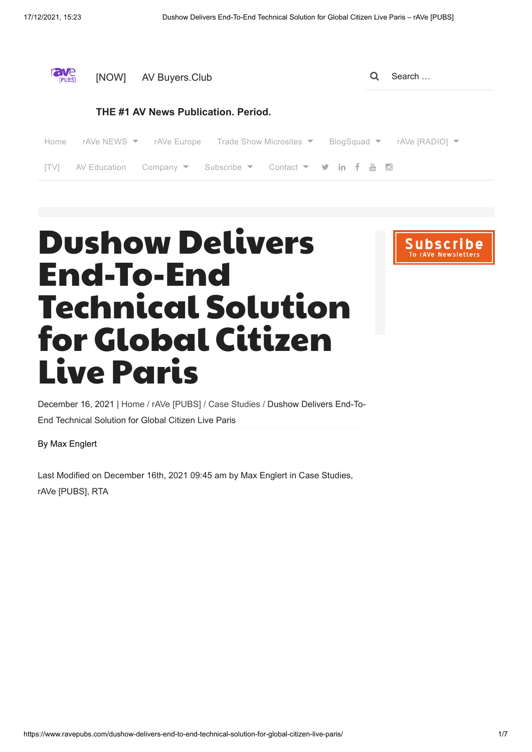| rave<br>[PUBS]                      | [NOW]        | AV Buyers.Club                                                                        |  | Search                                                           |
|-------------------------------------|--------------|---------------------------------------------------------------------------------------|--|------------------------------------------------------------------|
| THE #1 AV News Publication. Period. |              |                                                                                       |  |                                                                  |
| Home                                |              | rAVe NEWS $\blacktriangledown$ rAVe Europe Trade Show Microsites $\blacktriangledown$ |  | BlogSquad $\blacktriangledown$ rAVe [RADIO] $\blacktriangledown$ |
| <b>ITV1</b>                         | AV Education |                                                                                       |  |                                                                  |
|                                     |              |                                                                                       |  |                                                                  |

## Dushow Delivers End-To-End Technical Solution for Global Citizen Live Paris

**Subscri** 

December 16, 2021 | [Home](https://www.ravepubs.com/) / [rAVe \[PUBS\]](https://www.ravepubs.com/rave-pubs/) / [Case Studies](https://www.ravepubs.com/rave-pubs/case-studies/) / Dushow Delivers End-To-End Technical Solution for Global Citizen Live Paris

[By Max Englert](https://www.ravepubs.com/author/maxenglert/)

Last Modified on [December 16th, 2021 09:45 am](https://www.ravepubs.com/dushow-delivers-end-to-end-technical-solution-for-global-citizen-live-paris/) by [Max Englert](https://www.ravepubs.com/author/maxenglert/) in [Case Studies](https://www.ravepubs.com/rave-pubs/case-studies/), [rAVe \[PUBS\]](https://www.ravepubs.com/rave-pubs/), [RTA](https://www.ravepubs.com/rta/)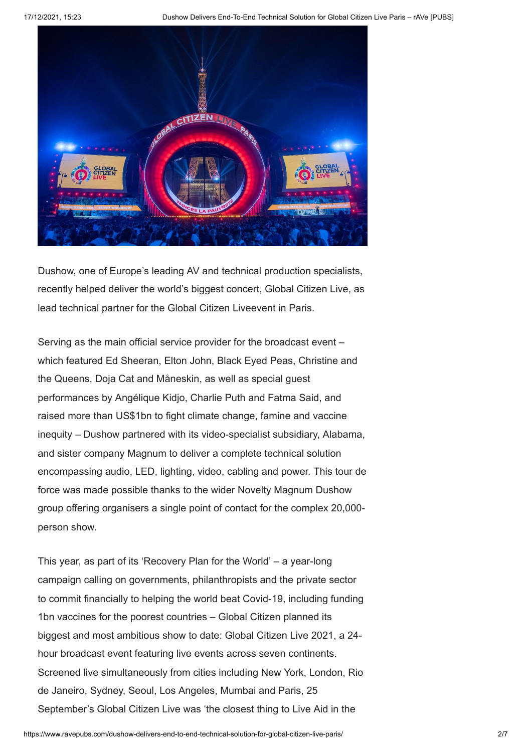

Dushow, one of Europe's leading AV and technical production specialists, recently helped deliver the world's biggest concert, Global Citizen Live, as lead technical partner for the Global Citizen Liveevent in Paris.

Serving as the main official service provider for the broadcast event – which featured Ed Sheeran, Elton John, Black Eyed Peas, Christine and the Queens, Doja Cat and Måneskin, as well as special guest performances by Angélique Kidjo, Charlie Puth and Fatma Said, and raised more than US\$1bn to fight climate change, famine and vaccine inequity – Dushow partnered with its video-specialist subsidiary, Alabama, and sister company Magnum to deliver a complete technical solution encompassing audio, LED, lighting, video, cabling and power. This tour de force was made possible thanks to the wider Novelty Magnum Dushow group offering organisers a single point of contact for the complex 20,000 person show.

This year, as part of its 'Recovery Plan for the World' – a year-long campaign calling on governments, philanthropists and the private sector to commit financially to helping the world beat Covid-19, including funding 1bn vaccines for the poorest countries – Global Citizen planned its biggest and most ambitious show to date: Global Citizen Live 2021, a 24 hour broadcast event featuring live events across seven continents. Screened live simultaneously from cities including New York, London, Rio de Janeiro, Sydney, Seoul, Los Angeles, Mumbai and Paris, 25 September's Global Citizen Live was 'the closest thing to Live Aid in the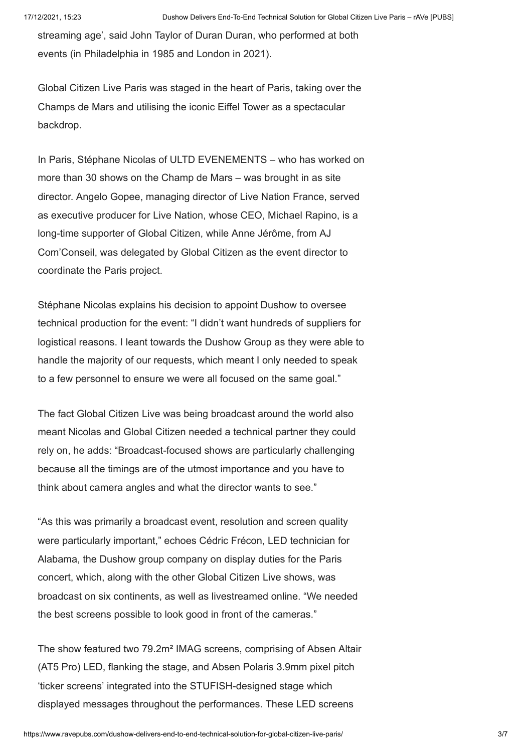streaming age', said John Taylor of Duran Duran, who performed at both events (in Philadelphia in 1985 and London in 2021).

Global Citizen Live Paris was staged in the heart of Paris, taking over the Champs de Mars and utilising the iconic Eiffel Tower as a spectacular backdrop.

In Paris, Stéphane Nicolas of ULTD EVENEMENTS – who has worked on more than 30 shows on the Champ de Mars – was brought in as site director. Angelo Gopee, managing director of Live Nation France, served as executive producer for Live Nation, whose CEO, Michael Rapino, is a long-time supporter of Global Citizen, while Anne Jérôme, from AJ Com'Conseil, was delegated by Global Citizen as the event director to coordinate the Paris project.

Stéphane Nicolas explains his decision to appoint Dushow to oversee technical production for the event: "I didn't want hundreds of suppliers for logistical reasons. I leant towards the Dushow Group as they were able to handle the majority of our requests, which meant I only needed to speak to a few personnel to ensure we were all focused on the same goal."

The fact Global Citizen Live was being broadcast around the world also meant Nicolas and Global Citizen needed a technical partner they could rely on, he adds: "Broadcast-focused shows are particularly challenging because all the timings are of the utmost importance and you have to think about camera angles and what the director wants to see."

"As this was primarily a broadcast event, resolution and screen quality were particularly important," echoes Cédric Frécon, LED technician for Alabama, the Dushow group company on display duties for the Paris concert, which, along with the other Global Citizen Live shows, was broadcast on six continents, as well as livestreamed online. "We needed the best screens possible to look good in front of the cameras."

The show featured two 79.2m² IMAG screens, comprising of Absen Altair (AT5 Pro) LED, flanking the stage, and Absen Polaris 3.9mm pixel pitch 'ticker screens' integrated into the STUFISH-designed stage which displayed messages throughout the performances. These LED screens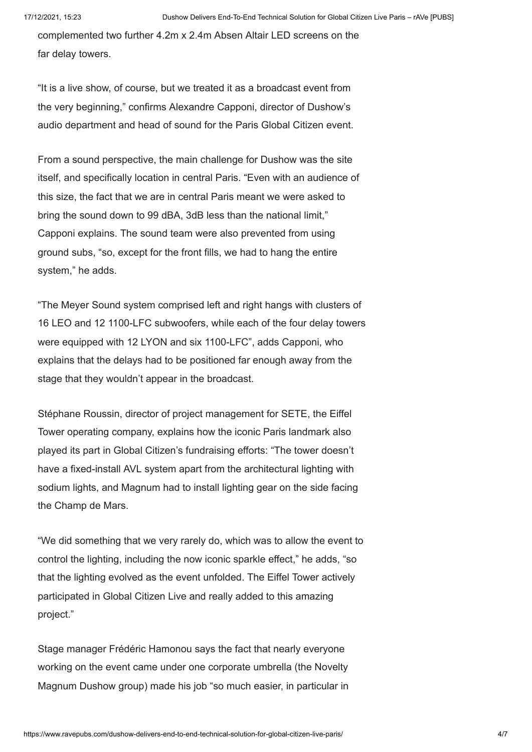complemented two further 4.2m x 2.4m Absen Altair LED screens on the far delay towers.

"It is a live show, of course, but we treated it as a broadcast event from the very beginning," confirms Alexandre Capponi, director of Dushow's audio department and head of sound for the Paris Global Citizen event.

From a sound perspective, the main challenge for Dushow was the site itself, and specifically location in central Paris. "Even with an audience of this size, the fact that we are in central Paris meant we were asked to bring the sound down to 99 dBA, 3dB less than the national limit," Capponi explains. The sound team were also prevented from using ground subs, "so, except for the front fills, we had to hang the entire system," he adds.

"The Meyer Sound system comprised left and right hangs with clusters of 16 LEO and 12 1100-LFC subwoofers, while each of the four delay towers were equipped with 12 LYON and six 1100-LFC", adds Capponi, who explains that the delays had to be positioned far enough away from the stage that they wouldn't appear in the broadcast.

Stéphane Roussin, director of project management for SETE, the Eiffel Tower operating company, explains how the iconic Paris landmark also played its part in Global Citizen's fundraising efforts: "The tower doesn't have a fixed-install AVL system apart from the architectural lighting with sodium lights, and Magnum had to install lighting gear on the side facing the Champ de Mars.

"We did something that we very rarely do, which was to allow the event to control the lighting, including the now iconic sparkle effect," he adds, "so that the lighting evolved as the event unfolded. The Eiffel Tower actively participated in Global Citizen Live and really added to this amazing project."

Stage manager Frédéric Hamonou says the fact that nearly everyone working on the event came under one corporate umbrella (the Novelty Magnum Dushow group) made his job "so much easier, in particular in